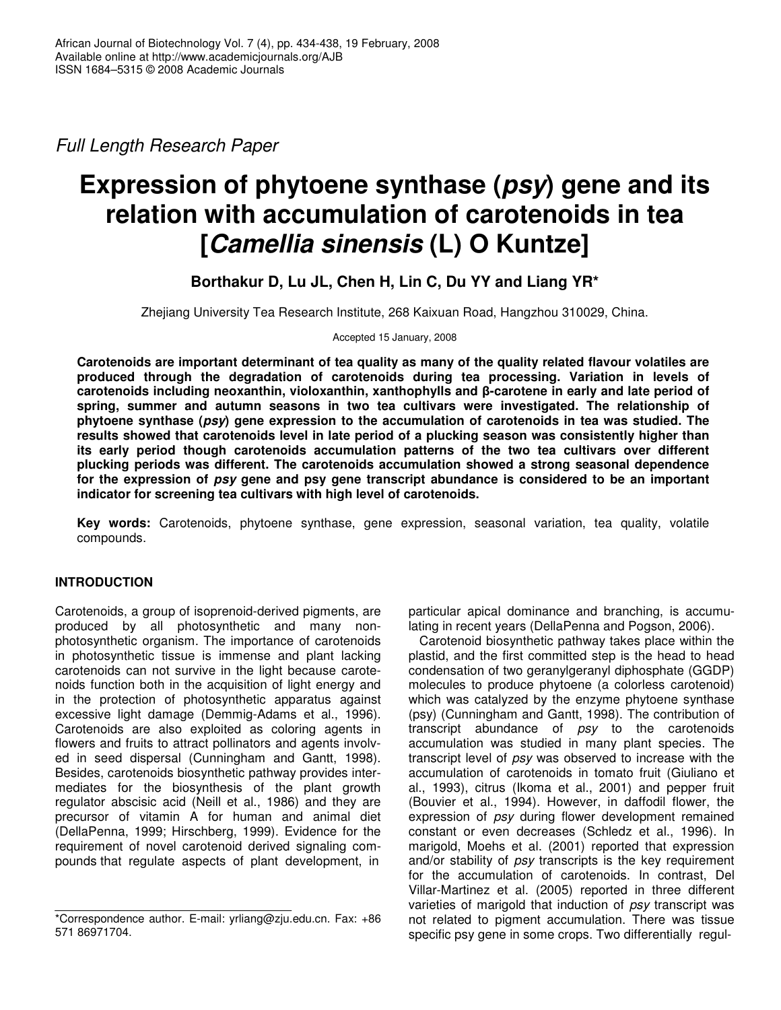*Full Length Research Paper*

# **Expression of phytoene synthase (***psy***) gene and its relation with accumulation of carotenoids in tea [***Camellia sinensis* **(L) O Kuntze]**

**Borthakur D, Lu JL, Chen H, Lin C, Du YY and Liang YR\***

Zhejiang University Tea Research Institute, 268 Kaixuan Road, Hangzhou 310029, China.

Accepted 15 January, 2008

**Carotenoids are important determinant of tea quality as many of the quality related flavour volatiles are produced through the degradation of carotenoids during tea processing. Variation in levels of carotenoids including neoxanthin, violoxanthin, xanthophylls and -carotene in early and late period of spring, summer and autumn seasons in two tea cultivars were investigated. The relationship of phytoene synthase (***psy***) gene expression to the accumulation of carotenoids in tea was studied. The results showed that carotenoids level in late period of a plucking season was consistently higher than its early period though carotenoids accumulation patterns of the two tea cultivars over different plucking periods was different. The carotenoids accumulation showed a strong seasonal dependence for the expression of** *psy* **gene and psy gene transcript abundance is considered to be an important indicator for screening tea cultivars with high level of carotenoids.**

**Key words:** Carotenoids, phytoene synthase, gene expression, seasonal variation, tea quality, volatile compounds.

# **INTRODUCTION**

Carotenoids, a group of isoprenoid-derived pigments, are produced by all photosynthetic and many nonphotosynthetic organism. The importance of carotenoids in photosynthetic tissue is immense and plant lacking carotenoids can not survive in the light because carotenoids function both in the acquisition of light energy and in the protection of photosynthetic apparatus against excessive light damage (Demmig-Adams et al., 1996). Carotenoids are also exploited as coloring agents in flowers and fruits to attract pollinators and agents involved in seed dispersal (Cunningham and Gantt, 1998). Besides, carotenoids biosynthetic pathway provides intermediates for the biosynthesis of the plant growth regulator abscisic acid (Neill et al., 1986) and they are precursor of vitamin A for human and animal diet (DellaPenna, 1999; Hirschberg, 1999). Evidence for the requirement of novel carotenoid derived signaling compounds that regulate aspects of plant development, in

particular apical dominance and branching, is accumulating in recent years (DellaPenna and Pogson, 2006).

Carotenoid biosynthetic pathway takes place within the plastid, and the first committed step is the head to head condensation of two geranylgeranyl diphosphate (GGDP) molecules to produce phytoene (a colorless carotenoid) which was catalyzed by the enzyme phytoene synthase (psy) (Cunningham and Gantt, 1998). The contribution of transcript abundance of *psy* to the carotenoids accumulation was studied in many plant species. The transcript level of *psy* was observed to increase with the accumulation of carotenoids in tomato fruit (Giuliano et al., 1993), citrus (Ikoma et al., 2001) and pepper fruit (Bouvier et al., 1994). However, in daffodil flower, the expression of *psy* during flower development remained constant or even decreases (Schledz et al., 1996). In marigold, Moehs et al. (2001) reported that expression and/or stability of *psy* transcripts is the key requirement for the accumulation of carotenoids. In contrast, Del Villar-Martinez et al. (2005) reported in three different varieties of marigold that induction of *psy* transcript was not related to pigment accumulation. There was tissue specific psy gene in some crops. Two differentially regul-

<sup>\*</sup>Correspondence author. E-mail: yrliang@zju.edu.cn. Fax: +86 571 86971704.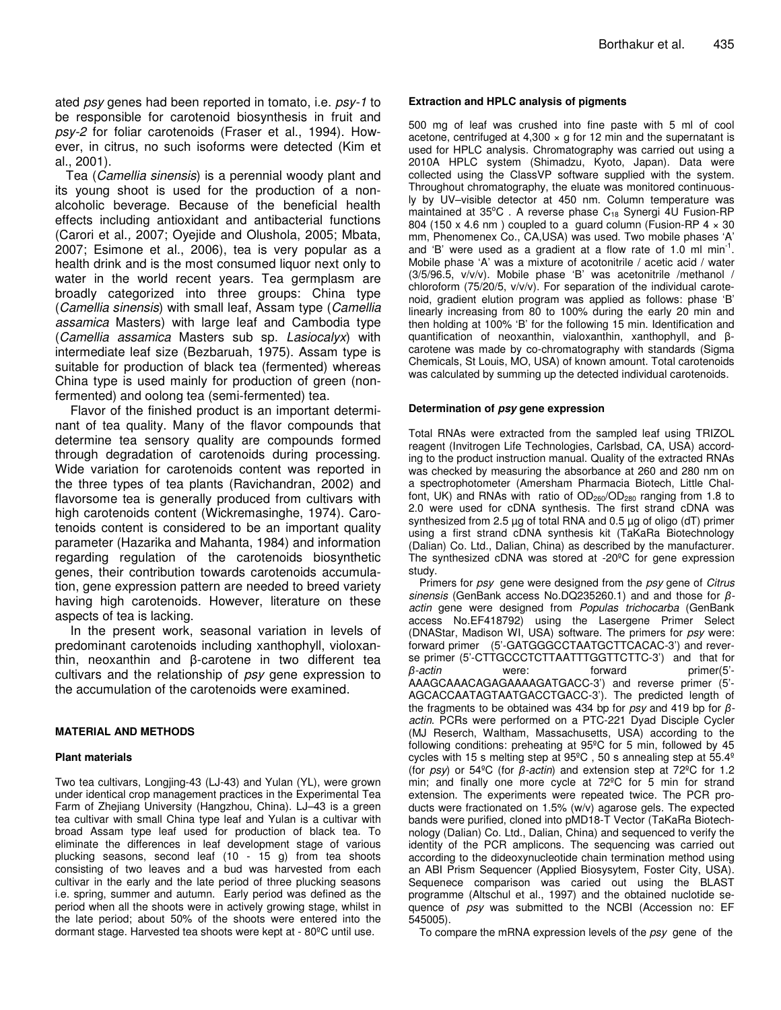ated *psy* genes had been reported in tomato, i.e. *psy-1* to be responsible for carotenoid biosynthesis in fruit and *psy-2* for foliar carotenoids (Fraser et al., 1994). However, in citrus, no such isoforms were detected (Kim et al., 2001).

Tea (*Camellia sinensis*) is a perennial woody plant and its young shoot is used for the production of a nonalcoholic beverage. Because of the beneficial health effects including antioxidant and antibacterial functions (Carori et al.*,* 2007; Oyejide and Olushola, 2005; Mbata, 2007; Esimone et al., 2006), tea is very popular as a health drink and is the most consumed liquor next only to water in the world recent years. Tea germplasm are broadly categorized into three groups: China type (*Camellia sinensis*) with small leaf, Assam type (*Camellia assamica* Masters) with large leaf and Cambodia type (*Camellia assamica* Masters sub sp. *Lasiocalyx*) with intermediate leaf size (Bezbaruah, 1975). Assam type is suitable for production of black tea (fermented) whereas China type is used mainly for production of green (nonfermented) and oolong tea (semi-fermented) tea.

Flavor of the finished product is an important determinant of tea quality. Many of the flavor compounds that determine tea sensory quality are compounds formed through degradation of carotenoids during processing. Wide variation for carotenoids content was reported in the three types of tea plants (Ravichandran, 2002) and flavorsome tea is generally produced from cultivars with high carotenoids content (Wickremasinghe, 1974). Carotenoids content is considered to be an important quality parameter (Hazarika and Mahanta, 1984) and information regarding regulation of the carotenoids biosynthetic genes, their contribution towards carotenoids accumulation, gene expression pattern are needed to breed variety having high carotenoids. However, literature on these aspects of tea is lacking.

In the present work, seasonal variation in levels of predominant carotenoids including xanthophyll, violoxanthin, neoxanthin and  $\beta$ -carotene in two different tea cultivars and the relationship of *psy* gene expression to the accumulation of the carotenoids were examined.

## **MATERIAL AND METHODS**

#### **Plant materials**

Two tea cultivars, Longjing-43 (LJ-43) and Yulan (YL), were grown under identical crop management practices in the Experimental Tea Farm of Zhejiang University (Hangzhou, China). LJ–43 is a green tea cultivar with small China type leaf and Yulan is a cultivar with broad Assam type leaf used for production of black tea. To eliminate the differences in leaf development stage of various plucking seasons, second leaf (10 - 15 g) from tea shoots consisting of two leaves and a bud was harvested from each cultivar in the early and the late period of three plucking seasons i.e. spring, summer and autumn. Early period was defined as the period when all the shoots were in actively growing stage, whilst in the late period; about 50% of the shoots were entered into the dormant stage. Harvested tea shoots were kept at - 80ºC until use.

#### **Extraction and HPLC analysis of pigments**

500 mg of leaf was crushed into fine paste with 5 ml of cool acetone, centrifuged at  $4,300 \times g$  for 12 min and the supernatant is used for HPLC analysis. Chromatography was carried out using a 2010A HPLC system (Shimadzu, Kyoto, Japan). Data were collected using the ClassVP software supplied with the system. Throughout chromatography, the eluate was monitored continuously by UV–visible detector at 450 nm. Column temperature was maintained at 35°C. A reverse phase C<sub>18</sub> Synergi 4U Fusion-RP 804 (150 x 4.6 nm) coupled to a guard column (Fusion-RP  $4 \times 30$ mm, Phenomenex Co., CA,USA) was used. Two mobile phases 'A' and 'B' were used as a gradient at a flow rate of 1.0 ml min<sup>-1</sup>. Mobile phase 'A' was a mixture of acotonitrile / acetic acid / water (3/5/96.5, v/v/v). Mobile phase 'B' was acetonitrile /methanol / chloroform (75/20/5, v/v/v). For separation of the individual carotenoid, gradient elution program was applied as follows: phase 'B' linearly increasing from 80 to 100% during the early 20 min and then holding at 100% 'B' for the following 15 min. Identification and quantification of neoxanthin, vialoxanthin, xanthophyll, and  $\beta$ carotene was made by co-chromatography with standards (Sigma Chemicals, St Louis, MO, USA) of known amount. Total carotenoids was calculated by summing up the detected individual carotenoids.

#### **Determination of** *psy* **gene expression**

Total RNAs were extracted from the sampled leaf using TRIZOL reagent (Invitrogen Life Technologies, Carlsbad, CA, USA) according to the product instruction manual. Quality of the extracted RNAs was checked by measuring the absorbance at 260 and 280 nm on a spectrophotometer (Amersham Pharmacia Biotech, Little Chalfont, UK) and RNAs with ratio of  $OD_{260}/OD_{280}$  ranging from 1.8 to 2.0 were used for cDNA synthesis. The first strand cDNA was synthesized from 2.5 µg of total RNA and 0.5 µg of oligo (dT) primer using a first strand cDNA synthesis kit (TaKaRa Biotechnology (Dalian) Co. Ltd., Dalian, China) as described by the manufacturer. The synthesized cDNA was stored at -20ºC for gene expression study.

Primers for *psy* gene were designed from the *psy* gene of *Citrus sinensis* (GenBank access No.DQ235260.1) and and those for  *actin* gene were designed from *Populas trichocarba* (GenBank access No.EF418792) using the Lasergene Primer Select (DNAStar, Madison WI, USA) software. The primers for *psy* were: forward primer (5'-GATGGGCCTAATGCTTCACAC-3') and reverse primer (5'-CTTGCCCTCTTAATTTGGTTCTTC-3') and that for  $β$ -*actin* were: forward primer(5'-AAAGCAAACAGAGAAAAGATGACC-3') and reverse primer (5'- AGCACCAATAGTAATGACCTGACC-3'). The predicted length of the fragments to be obtained was 434 bp for *psy* and 419 bp for *βactin*. PCRs were performed on a PTC-221 Dyad Disciple Cycler (MJ Reserch, Waltham, Massachusetts, USA) according to the following conditions: preheating at 95ºC for 5 min, followed by 45 cycles with 15 s melting step at 95ºC , 50 s annealing step at 55.4º (for  $psy$ ) or 54<sup>o</sup>C (for  $\beta$ -actin) and extension step at 72<sup>o</sup>C for 1.2 min; and finally one more cycle at 72ºC for 5 min for strand extension. The experiments were repeated twice. The PCR products were fractionated on 1.5% (w/v) agarose gels. The expected bands were purified, cloned into pMD18-T Vector (TaKaRa Biotechnology (Dalian) Co. Ltd., Dalian, China) and sequenced to verify the identity of the PCR amplicons. The sequencing was carried out according to the dideoxynucleotide chain termination method using an ABI Prism Sequencer (Applied Biosysytem, Foster City, USA). Sequenece comparison was caried out using the BLAST programme (Altschul et al., 1997) and the obtained nuclotide sequence of *psy* was submitted to the NCBI (Accession no: EF 545005).

To compare the mRNA expression levels of the *psy* gene of the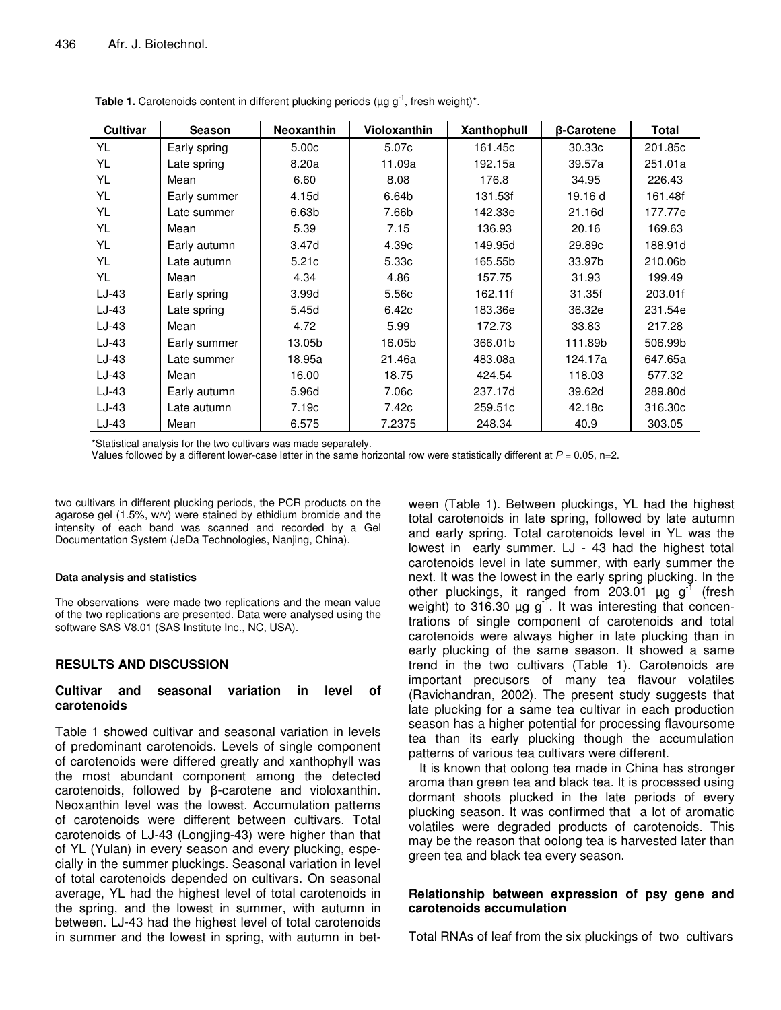| <b>Cultivar</b> | <b>Season</b> | Neoxanthin        | Violoxanthin | Xanthophull | β-Carotene | <b>Total</b> |
|-----------------|---------------|-------------------|--------------|-------------|------------|--------------|
| YL              | Early spring  | 5.00 <sub>c</sub> | 5.07c        | 161.45c     | 30.33c     | 201.85c      |
| YL              | Late spring   | 8.20a             | 11.09a       | 192.15a     | 39.57a     | 251.01a      |
| YL              | Mean          | 6.60              | 8.08         | 176.8       | 34.95      | 226.43       |
| YL              | Early summer  | 4.15d             | 6.64b        | 131.53f     | 19.16 d    | 161.48f      |
| YL              | Late summer   | 6.63b             | 7.66b        | 142.33e     | 21.16d     | 177.77e      |
| YL              | Mean          | 5.39              | 7.15         | 136.93      | 20.16      | 169.63       |
| YL              | Early autumn  | 3.47 <sub>d</sub> | 4.39c        | 149.95d     | 29.89c     | 188.91d      |
| YL              | Late autumn   | 5.21c             | 5.33c        | 165.55b     | 33.97b     | 210.06b      |
| YL              | Mean          | 4.34              | 4.86         | 157.75      | 31.93      | 199.49       |
| $LJ-43$         | Early spring  | 3.99 <sub>d</sub> | 5.56c        | 162.11f     | 31.35f     | 203.01f      |
| $LJ-43$         | Late spring   | 5.45d             | 6.42c        | 183.36e     | 36.32e     | 231.54e      |
| $LJ-43$         | Mean          | 4.72              | 5.99         | 172.73      | 33.83      | 217.28       |
| $LJ-43$         | Early summer  | 13.05b            | 16.05b       | 366.01b     | 111.89b    | 506.99b      |
| $LJ-43$         | Late summer   | 18.95a            | 21.46a       | 483.08a     | 124.17a    | 647.65a      |
| $LJ-43$         | Mean          | 16.00             | 18.75        | 424.54      | 118.03     | 577.32       |
| $LJ-43$         | Early autumn  | 5.96d             | 7.06c        | 237.17d     | 39.62d     | 289.80d      |
| $LJ-43$         | Late autumn   | 7.19c             | 7.42c        | 259.51c     | 42.18c     | 316.30c      |
| $LJ-43$         | Mean          | 6.575             | 7.2375       | 248.34      | 40.9       | 303.05       |

Table 1. Carotenoids content in different plucking periods (µg g<sup>-1</sup>, fresh weight)\*.

\*Statistical analysis for the two cultivars was made separately.

Values followed by a different lower-case letter in the same horizontal row were statistically different at  $P = 0.05$ , n=2.

two cultivars in different plucking periods, the PCR products on the agarose gel (1.5%, w/v) were stained by ethidium bromide and the intensity of each band was scanned and recorded by a Gel Documentation System (JeDa Technologies, Nanjing, China).

## **Data analysis and statistics**

The observations were made two replications and the mean value of the two replications are presented. Data were analysed using the software SAS V8.01 (SAS Institute Inc., NC, USA).

# **RESULTS AND DISCUSSION**

## **Cultivar and seasonal variation in level of carotenoids**

Table 1 showed cultivar and seasonal variation in levels of predominant carotenoids. Levels of single component of carotenoids were differed greatly and xanthophyll was the most abundant component among the detected carotenoids, followed by B-carotene and violoxanthin. Neoxanthin level was the lowest. Accumulation patterns of carotenoids were different between cultivars. Total carotenoids of LJ-43 (Longjing-43) were higher than that of YL (Yulan) in every season and every plucking, especially in the summer pluckings. Seasonal variation in level of total carotenoids depended on cultivars. On seasonal average, YL had the highest level of total carotenoids in the spring, and the lowest in summer, with autumn in between. LJ-43 had the highest level of total carotenoids in summer and the lowest in spring, with autumn in between (Table 1). Between pluckings, YL had the highest total carotenoids in late spring, followed by late autumn and early spring. Total carotenoids level in YL was the lowest in early summer. LJ - 43 had the highest total carotenoids level in late summer, with early summer the next. It was the lowest in the early spring plucking. In the other pluckings, it ranged from 203.01  $\mu$ g g<sup>-T</sup> (fresh weight) to 316.30  $\mu$ g g<sup>-f</sup>. It was interesting that concentrations of single component of carotenoids and total carotenoids were always higher in late plucking than in early plucking of the same season. It showed a same trend in the two cultivars (Table 1). Carotenoids are important precusors of many tea flavour volatiles (Ravichandran, 2002). The present study suggests that late plucking for a same tea cultivar in each production season has a higher potential for processing flavoursome tea than its early plucking though the accumulation patterns of various tea cultivars were different.

It is known that oolong tea made in China has stronger aroma than green tea and black tea. It is processed using dormant shoots plucked in the late periods of every plucking season. It was confirmed that a lot of aromatic volatiles were degraded products of carotenoids. This may be the reason that oolong tea is harvested later than green tea and black tea every season.

# **Relationship between expression of psy gene and carotenoids accumulation**

Total RNAs of leaf from the six pluckings of two cultivars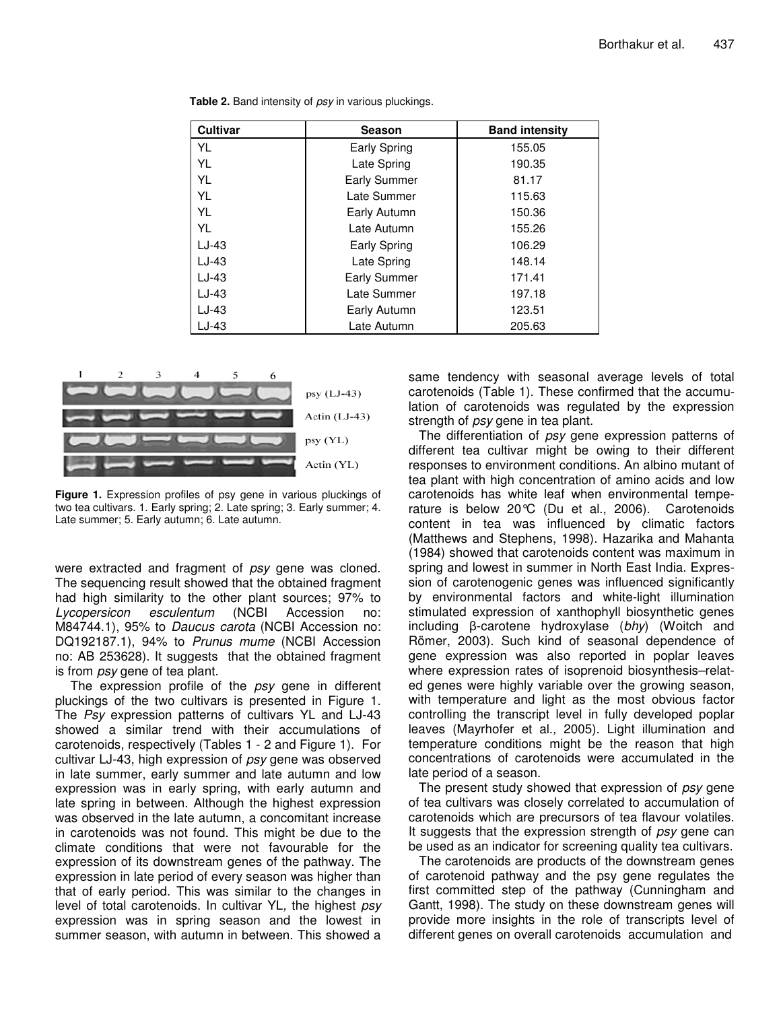| <b>Cultivar</b> | Season              | <b>Band intensity</b> |  |
|-----------------|---------------------|-----------------------|--|
| YL              | Early Spring        | 155.05                |  |
| YL              | Late Spring         | 190.35                |  |
| YL              | Early Summer        | 81.17                 |  |
| YL              | Late Summer         | 115.63                |  |
| YL              | Early Autumn        | 150.36                |  |
| YL              | Late Autumn         | 155.26                |  |
| $LJ-43$         | Early Spring        | 106.29                |  |
| $LJ-43$         | Late Spring         | 148.14                |  |
| $LJ-43$         | <b>Early Summer</b> | 171.41                |  |
| $LJ-43$         | Late Summer         | 197.18                |  |
| $LJ-43$         | Early Autumn        | 123.51                |  |
| LJ-43           | Late Autumn         | 205.63                |  |

**Table 2.** Band intensity of *psy* in various pluckings.



**Figure 1.** Expression profiles of psy gene in various pluckings of two tea cultivars. 1. Early spring; 2. Late spring; 3. Early summer; 4. Late summer; 5. Early autumn; 6. Late autumn.

were extracted and fragment of *psy* gene was cloned. The sequencing result showed that the obtained fragment had high similarity to the other plant sources; 97% to *Lycopersicon esculentum* (NCBI Accession no: M84744.1), 95% to *Daucus carota* (NCBI Accession no: DQ192187.1), 94% to *Prunus mume* (NCBI Accession no: AB 253628). It suggests that the obtained fragment is from *psy* gene of tea plant.

The expression profile of the *psy* gene in different pluckings of the two cultivars is presented in Figure 1. The *Psy* expression patterns of cultivars YL and LJ-43 showed a similar trend with their accumulations of carotenoids, respectively (Tables 1 - 2 and Figure 1). For cultivar LJ-43, high expression of *psy* gene was observed in late summer, early summer and late autumn and low expression was in early spring, with early autumn and late spring in between. Although the highest expression was observed in the late autumn, a concomitant increase in carotenoids was not found. This might be due to the climate conditions that were not favourable for the expression of its downstream genes of the pathway. The expression in late period of every season was higher than that of early period. This was similar to the changes in level of total carotenoids. In cultivar YL*,* the highest *psy* expression was in spring season and the lowest in summer season, with autumn in between. This showed a same tendency with seasonal average levels of total carotenoids (Table 1). These confirmed that the accumulation of carotenoids was regulated by the expression strength of *psy* gene in tea plant.

The differentiation of *psy* gene expression patterns of different tea cultivar might be owing to their different responses to environment conditions. An albino mutant of tea plant with high concentration of amino acids and low carotenoids has white leaf when environmental temperature is below 20°C (Du et al., 2006). Carotenoids content in tea was influenced by climatic factors (Matthews and Stephens, 1998). Hazarika and Mahanta (1984) showed that carotenoids content was maximum in spring and lowest in summer in North East India. Expression of carotenogenic genes was influenced significantly by environmental factors and white-light illumination stimulated expression of xanthophyll biosynthetic genes including  $\beta$ -carotene hydroxylase (*bhy*) (Woitch and Römer, 2003). Such kind of seasonal dependence of gene expression was also reported in poplar leaves where expression rates of isoprenoid biosynthesis–related genes were highly variable over the growing season, with temperature and light as the most obvious factor controlling the transcript level in fully developed poplar leaves (Mayrhofer et al.*,* 2005). Light illumination and temperature conditions might be the reason that high concentrations of carotenoids were accumulated in the late period of a season.

The present study showed that expression of *psy* gene of tea cultivars was closely correlated to accumulation of carotenoids which are precursors of tea flavour volatiles. It suggests that the expression strength of *psy* gene can be used as an indicator for screening quality tea cultivars.

The carotenoids are products of the downstream genes of carotenoid pathway and the psy gene regulates the first committed step of the pathway (Cunningham and Gantt, 1998). The study on these downstream genes will provide more insights in the role of transcripts level of different genes on overall carotenoids accumulation and